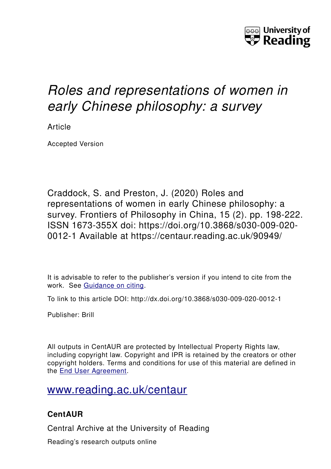

# *Roles and representations of women in early Chinese philosophy: a survey*

Article

Accepted Version

Craddock, S. and Preston, J. (2020) Roles and representations of women in early Chinese philosophy: a survey. Frontiers of Philosophy in China, 15 (2). pp. 198-222. ISSN 1673-355X doi: https://doi.org/10.3868/s030-009-020- 0012-1 Available at https://centaur.reading.ac.uk/90949/

It is advisable to refer to the publisher's version if you intend to cite from the work. See [Guidance on citing.](http://centaur.reading.ac.uk/71187/10/CentAUR%20citing%20guide.pdf)

To link to this article DOI: http://dx.doi.org/10.3868/s030-009-020-0012-1

Publisher: Brill

All outputs in CentAUR are protected by Intellectual Property Rights law, including copyright law. Copyright and IPR is retained by the creators or other copyright holders. Terms and conditions for use of this material are defined in the [End User Agreement.](http://centaur.reading.ac.uk/licence)

## [www.reading.ac.uk/centaur](http://www.reading.ac.uk/centaur)

### **CentAUR**

Central Archive at the University of Reading

Reading's research outputs online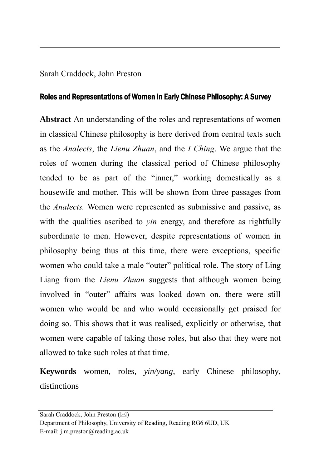#### Sarah Craddock, John Preston

#### Roles and Representations of Women in Early Chinese Philosophy: A Survey

**Abstract** An understanding of the roles and representations of women in classical Chinese philosophy is here derived from central texts such as the *Analects*, the *Lienu Zhuan*, and the *I Ching*. We argue that the roles of women during the classical period of Chinese philosophy tended to be as part of the "inner," working domestically as a housewife and mother. This will be shown from three passages from the *Analects.* Women were represented as submissive and passive, as with the qualities ascribed to *yin* energy, and therefore as rightfully subordinate to men. However, despite representations of women in philosophy being thus at this time, there were exceptions, specific women who could take a male "outer" political role. The story of Ling Liang from the *Lienu Zhuan* suggests that although women being involved in "outer" affairs was looked down on, there were still women who would be and who would occasionally get praised for doing so. This shows that it was realised, explicitly or otherwise, that women were capable of taking those roles, but also that they were not allowed to take such roles at that time.

**Keywords** women, roles, *yin/yang*, early Chinese philosophy, distinctions

Sarah Craddock, John Preston (⊠)

Department of Philosophy, University of Reading, Reading RG6 6UD, UK E-mail: [j.m.preston@reading.ac.uk](mailto:j.m.preston@reading.ac.uk)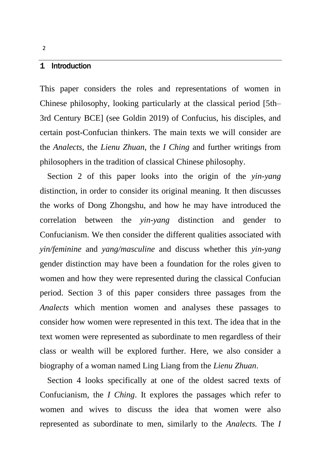#### 1 Introduction

This paper considers the roles and representations of women in Chinese philosophy, looking particularly at the classical period [5th– 3rd Century BCE] (see Goldin 2019) of Confucius, his disciples, and certain post-Confucian thinkers. The main texts we will consider are the *Analects*, the *Lienu Zhuan*, the *I Ching* and further writings from philosophers in the tradition of classical Chinese philosophy.

Section 2 of this paper looks into the origin of the *yin-yang*  distinction, in order to consider its original meaning. It then discusses the works of Dong Zhongshu, and how he may have introduced the correlation between the *yin-yang* distinction and gender to Confucianism. We then consider the different qualities associated with *yin/feminine* and *yang/masculine* and discuss whether this *yin-yang*  gender distinction may have been a foundation for the roles given to women and how they were represented during the classical Confucian period. Section 3 of this paper considers three passages from the *Analects* which mention women and analyses these passages to consider how women were represented in this text. The idea that in the text women were represented as subordinate to men regardless of their class or wealth will be explored further. Here, we also consider a biography of a woman named Ling Liang from the *Lienu Zhuan*.

Section 4 looks specifically at one of the oldest sacred texts of Confucianism, the *I Ching*. It explores the passages which refer to women and wives to discuss the idea that women were also represented as subordinate to men, similarly to the *Analects.* The *I*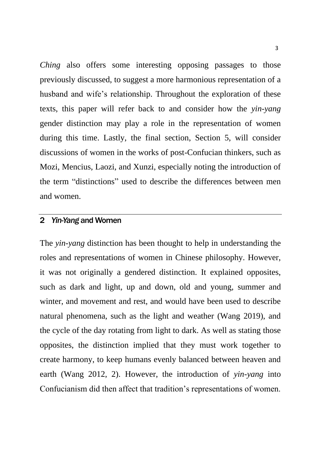*Ching* also offers some interesting opposing passages to those previously discussed, to suggest a more harmonious representation of a husband and wife's relationship. Throughout the exploration of these texts, this paper will refer back to and consider how the *yin-yang*  gender distinction may play a role in the representation of women during this time. Lastly, the final section, Section 5, will consider discussions of women in the works of post-Confucian thinkers, such as Mozi, Mencius, Laozi, and Xunzi, especially noting the introduction of the term "distinctions" used to describe the differences between men and women.

#### 2 *Yin-Yang* and Women

The *yin-yang* distinction has been thought to help in understanding the roles and representations of women in Chinese philosophy. However, it was not originally a gendered distinction. It explained opposites, such as dark and light, up and down, old and young, summer and winter, and movement and rest, and would have been used to describe natural phenomena, such as the light and weather (Wang 2019), and the cycle of the day rotating from light to dark. As well as stating those opposites, the distinction implied that they must work together to create harmony, to keep humans evenly balanced between heaven and earth (Wang 2012, 2). However, the introduction of *yin-yang* into Confucianism did then affect that tradition's representations of women.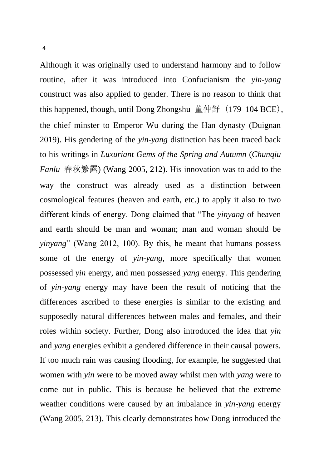Although it was originally used to understand harmony and to follow routine, after it was introduced into Confucianism the *yin-yang*  construct was also applied to gender. There is no reason to think that this happened, though, until Dong Zhongshu 董仲舒(179–104 BCE), the chief minster to Emperor Wu during the Han dynasty (Duignan 2019). His gendering of the *yin-yang* distinction has been traced back to his writings in *Luxuriant Gems of the Spring and Autumn* (*Chunqiu Fanlu* 春秋繁露) (Wang 2005, 212). His innovation was to add to the way the construct was already used as a distinction between cosmological features (heaven and earth, etc.) to apply it also to two different kinds of energy. Dong claimed that "The *yinyang* of heaven and earth should be man and woman; man and woman should be *yinyang*" (Wang 2012, 100). By this, he meant that humans possess some of the energy of *yin-yang*, more specifically that women possessed *yin* energy, and men possessed *yang* energy. This gendering of *yin-yang* energy may have been the result of noticing that the differences ascribed to these energies is similar to the existing and supposedly natural differences between males and females, and their roles within society. Further, Dong also introduced the idea that *yin* and *yang* energies exhibit a gendered difference in their causal powers. If too much rain was causing flooding, for example, he suggested that women with *yin* were to be moved away whilst men with *yang* were to come out in public. This is because he believed that the extreme weather conditions were caused by an imbalance in *yin-yang* energy (Wang 2005, 213). This clearly demonstrates how Dong introduced the

4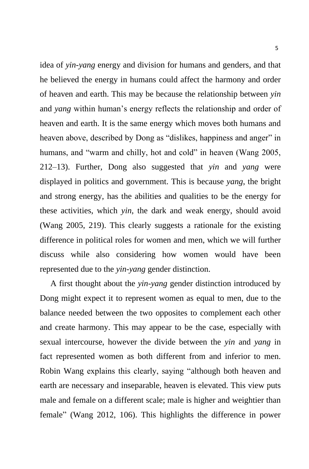idea of *yin-yang* energy and division for humans and genders, and that he believed the energy in humans could affect the harmony and order of heaven and earth. This may be because the relationship between *yin*  and *yang* within human's energy reflects the relationship and order of heaven and earth. It is the same energy which moves both humans and heaven above, described by Dong as "dislikes, happiness and anger" in humans, and "warm and chilly, hot and cold" in heaven (Wang 2005, 212–13). Further, Dong also suggested that *yin* and *yang* were displayed in politics and government. This is because *yang*, the bright and strong energy, has the abilities and qualities to be the energy for these activities, which *yin*, the dark and weak energy, should avoid (Wang 2005, 219). This clearly suggests a rationale for the existing difference in political roles for women and men, which we will further discuss while also considering how women would have been represented due to the *yin-yang* gender distinction.

 A first thought about the *yin-yang* gender distinction introduced by Dong might expect it to represent women as equal to men, due to the balance needed between the two opposites to complement each other and create harmony. This may appear to be the case, especially with sexual intercourse, however the divide between the *yin* and *yang* in fact represented women as both different from and inferior to men. Robin Wang explains this clearly, saying "although both heaven and earth are necessary and inseparable, heaven is elevated. This view puts male and female on a different scale; male is higher and weightier than female" (Wang 2012, 106). This highlights the difference in power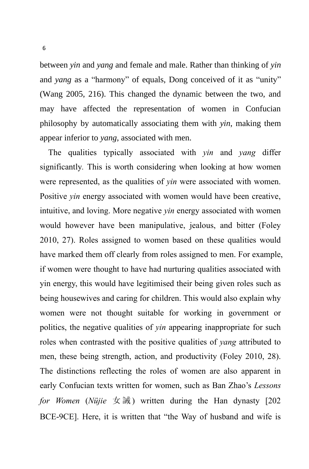between *yin* and *yang* and female and male. Rather than thinking of *yin*  and *yang* as a "harmony" of equals, Dong conceived of it as "unity" (Wang 2005, 216). This changed the dynamic between the two, and may have affected the representation of women in Confucian philosophy by automatically associating them with *yin*, making them appear inferior to *yang*, associated with men.

The qualities typically associated with *yin* and *yang* differ significantly*.* This is worth considering when looking at how women were represented, as the qualities of *yin* were associated with women. Positive *yin* energy associated with women would have been creative, intuitive, and loving. More negative *yin* energy associated with women would however have been manipulative, jealous, and bitter (Foley 2010, 27). Roles assigned to women based on these qualities would have marked them off clearly from roles assigned to men. For example, if women were thought to have had nurturing qualities associated with yin energy, this would have legitimised their being given roles such as being housewives and caring for children. This would also explain why women were not thought suitable for working in government or politics, the negative qualities of *yin* appearing inappropriate for such roles when contrasted with the positive qualities of *yang* attributed to men, these being strength, action, and productivity (Foley 2010, 28). The distinctions reflecting the roles of women are also apparent in early Confucian texts written for women, such as Ban Zhao's *Lessons for Women* (*Nüjie* 女 誡 ) written during the Han dynasty [202 BCE-9CE]. Here, it is written that "the Way of husband and wife is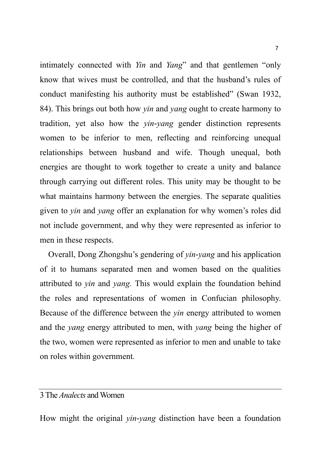intimately connected with *Yin* and *Yang*" and that gentlemen "only know that wives must be controlled, and that the husband's rules of conduct manifesting his authority must be established" (Swan 1932, 84). This brings out both how *yin* and *yang* ought to create harmony to tradition, yet also how the *yin-yang* gender distinction represents women to be inferior to men, reflecting and reinforcing unequal relationships between husband and wife. Though unequal, both energies are thought to work together to create a unity and balance through carrying out different roles. This unity may be thought to be what maintains harmony between the energies. The separate qualities given to *yin* and *yang* offer an explanation for why women's roles did not include government, and why they were represented as inferior to men in these respects.

Overall, Dong Zhongshu's gendering of *yin-yang* and his application of it to humans separated men and women based on the qualities attributed to *yin* and *yang.* This would explain the foundation behind the roles and representations of women in Confucian philosophy. Because of the difference between the *yin* energy attributed to women and the *yang* energy attributed to men, with *yang* being the higher of the two, women were represented as inferior to men and unable to take on roles within government*.*

#### 3 The *Analects* and Women

How might the original *yin-yang* distinction have been a foundation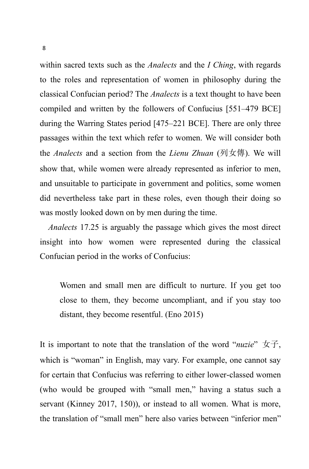within sacred texts such as the *Analects* and the *I Ching*, with regards to the roles and representation of women in philosophy during the classical Confucian period? The *Analects* is a text thought to have been compiled and written by the followers of Confucius [551–479 BCE] during the Warring States period [475–221 BCE]. There are only three passages within the text which refer to women. We will consider both the *Analects* and a section from the *Lienu Zhuan* (列女傳). We will show that, while women were already represented as inferior to men, and unsuitable to participate in government and politics, some women did nevertheless take part in these roles, even though their doing so was mostly looked down on by men during the time.

*Analects* 17.25 is arguably the passage which gives the most direct insight into how women were represented during the classical Confucian period in the works of Confucius:

Women and small men are difficult to nurture. If you get too close to them, they become uncompliant, and if you stay too distant, they become resentful. (Eno 2015)

It is important to note that the translation of the word "*nuzie*" 女子, which is "woman" in English, may vary. For example, one cannot say for certain that Confucius was referring to either lower-classed women (who would be grouped with "small men," having a status such a servant (Kinney 2017, 150)), or instead to all women. What is more, the translation of "small men" here also varies between "inferior men"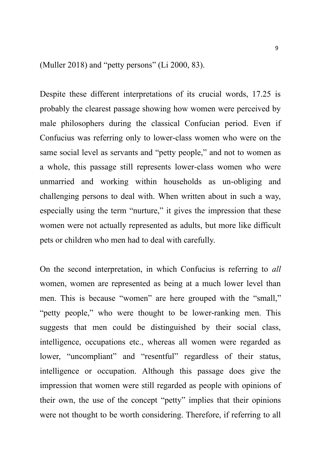(Muller 2018) and "petty persons" (Li 2000, 83).

Despite these different interpretations of its crucial words, 17.25 is probably the clearest passage showing how women were perceived by male philosophers during the classical Confucian period. Even if Confucius was referring only to lower-class women who were on the same social level as servants and "petty people," and not to women as a whole, this passage still represents lower-class women who were unmarried and working within households as un-obliging and challenging persons to deal with. When written about in such a way, especially using the term "nurture," it gives the impression that these women were not actually represented as adults, but more like difficult pets or children who men had to deal with carefully.

On the second interpretation, in which Confucius is referring to *all*  women, women are represented as being at a much lower level than men. This is because "women" are here grouped with the "small," "petty people," who were thought to be lower-ranking men. This suggests that men could be distinguished by their social class, intelligence, occupations etc., whereas all women were regarded as lower, "uncompliant" and "resentful" regardless of their status, intelligence or occupation. Although this passage does give the impression that women were still regarded as people with opinions of their own, the use of the concept "petty" implies that their opinions were not thought to be worth considering. Therefore, if referring to all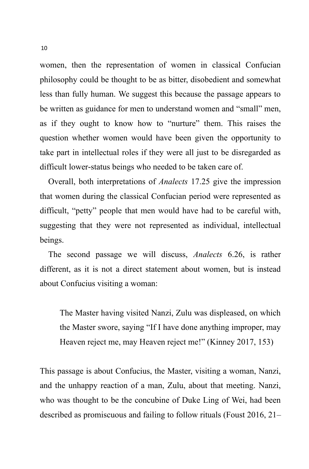women, then the representation of women in classical Confucian philosophy could be thought to be as bitter, disobedient and somewhat less than fully human. We suggest this because the passage appears to be written as guidance for men to understand women and "small" men, as if they ought to know how to "nurture" them. This raises the question whether women would have been given the opportunity to take part in intellectual roles if they were all just to be disregarded as difficult lower-status beings who needed to be taken care of.

Overall, both interpretations of *Analects* 17.25 give the impression that women during the classical Confucian period were represented as difficult, "petty" people that men would have had to be careful with, suggesting that they were not represented as individual, intellectual beings.

The second passage we will discuss, *Analects* 6.26, is rather different, as it is not a direct statement about women, but is instead about Confucius visiting a woman:

The Master having visited Nanzi, Zulu was displeased, on which the Master swore, saying "If I have done anything improper, may Heaven reject me, may Heaven reject me!" (Kinney 2017, 153)

This passage is about Confucius, the Master, visiting a woman, Nanzi, and the unhappy reaction of a man, Zulu, about that meeting. Nanzi, who was thought to be the concubine of Duke Ling of Wei, had been described as promiscuous and failing to follow rituals (Foust 2016, 21–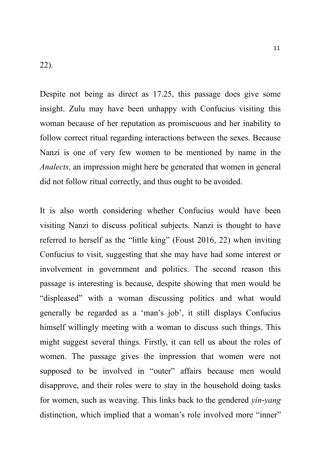Despite not being as direct as 17.25, this passage does give some insight. Zulu may have been unhappy with Confucius visiting this woman because of her reputation as promiscuous and her inability to follow correct ritual regarding interactions between the sexes. Because Nanzi is one of very few women to be mentioned by name in the *Analects,* an impression might here be generated that women in general did not follow ritual correctly, and thus ought to be avoided.

It is also worth considering whether Confucius would have been visiting Nanzi to discuss political subjects. Nanzi is thought to have referred to herself as the "little king" (Foust 2016, 22) when inviting Confucius to visit, suggesting that she may have had some interest or involvement in government and politics. The second reason this passage is interesting is because, despite showing that men would be "displeased" with a woman discussing politics and what would generally be regarded as a 'man's job', it still displays Confucius himself willingly meeting with a woman to discuss such things. This might suggest several things. Firstly, it can tell us about the roles of women. The passage gives the impression that women were not supposed to be involved in "outer" affairs because men would disapprove, and their roles were to stay in the household doing tasks for women, such as weaving. This links back to the gendered *yin-yang*  distinction, which implied that a woman's role involved more "inner"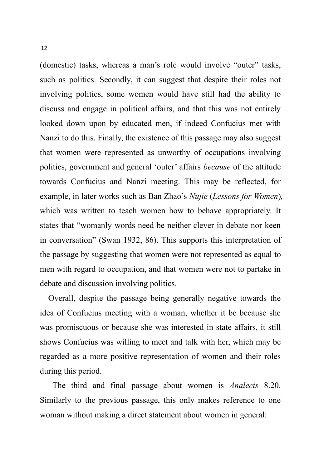(domestic) tasks, whereas a man's role would involve "outer" tasks, such as politics. Secondly, it can suggest that despite their roles not involving politics, some women would have still had the ability to discuss and engage in political affairs, and that this was not entirely looked down upon by educated men, if indeed Confucius met with Nanzi to do this. Finally, the existence of this passage may also suggest that women were represented as unworthy of occupations involving politics, government and general 'outer' affairs *because* of the attitude towards Confucius and Nanzi meeting. This may be reflected, for example, in later works such as Ban Zhao's *Nujie* (*Lessons for Women*)*,*  which was written to teach women how to behave appropriately. It states that "womanly words need be neither clever in debate nor keen in conversation" (Swan 1932, 86). This supports this interpretation of the passage by suggesting that women were not represented as equal to men with regard to occupation, and that women were not to partake in debate and discussion involving politics.

Overall, despite the passage being generally negative towards the idea of Confucius meeting with a woman, whether it be because she was promiscuous or because she was interested in state affairs, it still shows Confucius was willing to meet and talk with her, which may be regarded as a more positive representation of women and their roles during this period.

The third and final passage about women is *Analects* 8.20. Similarly to the previous passage, this only makes reference to one woman without making a direct statement about women in general: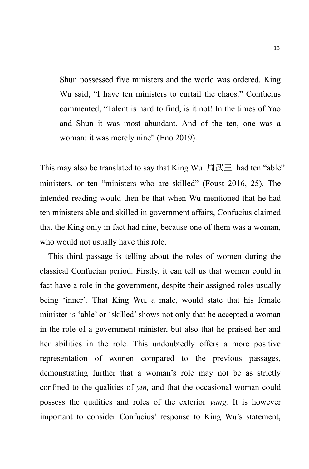Shun possessed five ministers and the world was ordered. King Wu said, "I have ten ministers to curtail the chaos." Confucius commented, "Talent is hard to find, is it not! In the times of Yao and Shun it was most abundant. And of the ten, one was a woman: it was merely nine" (Eno 2019).

This may also be translated to say that King Wu 周武王 had ten "able" ministers, or ten "ministers who are skilled" (Foust 2016, 25). The intended reading would then be that when Wu mentioned that he had ten ministers able and skilled in government affairs, Confucius claimed that the King only in fact had nine, because one of them was a woman, who would not usually have this role.

This third passage is telling about the roles of women during the classical Confucian period. Firstly, it can tell us that women could in fact have a role in the government, despite their assigned roles usually being 'inner'. That King Wu, a male, would state that his female minister is 'able' or 'skilled' shows not only that he accepted a woman in the role of a government minister, but also that he praised her and her abilities in the role. This undoubtedly offers a more positive representation of women compared to the previous passages, demonstrating further that a woman's role may not be as strictly confined to the qualities of *yin,* and that the occasional woman could possess the qualities and roles of the exterior *yang.* It is however important to consider Confucius' response to King Wu's statement,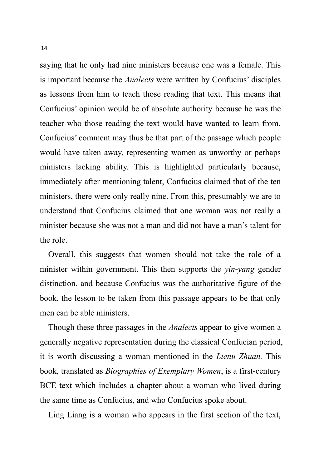saying that he only had nine ministers because one was a female. This is important because the *Analects* were written by Confucius' disciples as lessons from him to teach those reading that text. This means that Confucius' opinion would be of absolute authority because he was the teacher who those reading the text would have wanted to learn from. Confucius' comment may thus be that part of the passage which people would have taken away, representing women as unworthy or perhaps ministers lacking ability. This is highlighted particularly because, immediately after mentioning talent, Confucius claimed that of the ten ministers, there were only really nine. From this, presumably we are to understand that Confucius claimed that one woman was not really a minister because she was not a man and did not have a man's talent for the role.

Overall, this suggests that women should not take the role of a minister within government. This then supports the *yin-yang* gender distinction, and because Confucius was the authoritative figure of the book, the lesson to be taken from this passage appears to be that only men can be able ministers.

Though these three passages in the *Analects* appear to give women a generally negative representation during the classical Confucian period, it is worth discussing a woman mentioned in the *Lienu Zhuan.* This book, translated as *Biographies of Exemplary Women*, is a first-century BCE text which includes a chapter about a woman who lived during the same time as Confucius, and who Confucius spoke about.

Ling Liang is a woman who appears in the first section of the text,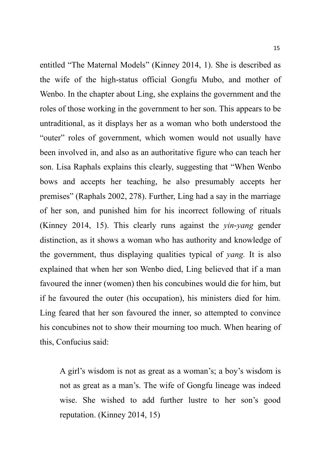entitled "The Maternal Models" (Kinney 2014, 1). She is described as the wife of the high-status official Gongfu Mubo, and mother of Wenbo. In the chapter about Ling, she explains the government and the roles of those working in the government to her son. This appears to be untraditional, as it displays her as a woman who both understood the "outer" roles of government, which women would not usually have been involved in, and also as an authoritative figure who can teach her son. Lisa Raphals explains this clearly, suggesting that "When Wenbo bows and accepts her teaching, he also presumably accepts her premises" (Raphals 2002, 278). Further, Ling had a say in the marriage of her son, and punished him for his incorrect following of rituals (Kinney 2014, 15). This clearly runs against the *yin-yang* gender distinction, as it shows a woman who has authority and knowledge of the government, thus displaying qualities typical of *yang.* It is also explained that when her son Wenbo died, Ling believed that if a man favoured the inner (women) then his concubines would die for him, but if he favoured the outer (his occupation), his ministers died for him. Ling feared that her son favoured the inner, so attempted to convince his concubines not to show their mourning too much. When hearing of this, Confucius said:

A girl's wisdom is not as great as a woman's; a boy's wisdom is not as great as a man's. The wife of Gongfu lineage was indeed wise. She wished to add further lustre to her son's good reputation. (Kinney 2014, 15)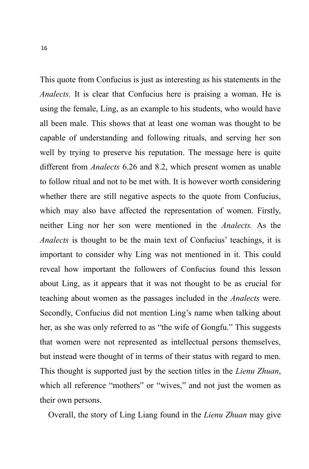This quote from Confucius is just as interesting as his statements in the *Analects.* It is clear that Confucius here is praising a woman. He is using the female, Ling, as an example to his students, who would have all been male. This shows that at least one woman was thought to be capable of understanding and following rituals, and serving her son well by trying to preserve his reputation. The message here is quite different from *Analects* 6.26 and 8.2, which present women as unable to follow ritual and not to be met with. It is however worth considering whether there are still negative aspects to the quote from Confucius, which may also have affected the representation of women. Firstly, neither Ling nor her son were mentioned in the *Analects.* As the *Analects* is thought to be the main text of Confucius' teachings, it is important to consider why Ling was not mentioned in it. This could reveal how important the followers of Confucius found this lesson about Ling, as it appears that it was not thought to be as crucial for teaching about women as the passages included in the *Analects* were. Secondly, Confucius did not mention Ling's name when talking about her, as she was only referred to as "the wife of Gongfu." This suggests that women were not represented as intellectual persons themselves, but instead were thought of in terms of their status with regard to men. This thought is supported just by the section titles in the *Lienu Zhuan*, which all reference "mothers" or "wives," and not just the women as their own persons.

Overall, the story of Ling Liang found in the *Lienu Zhuan* may give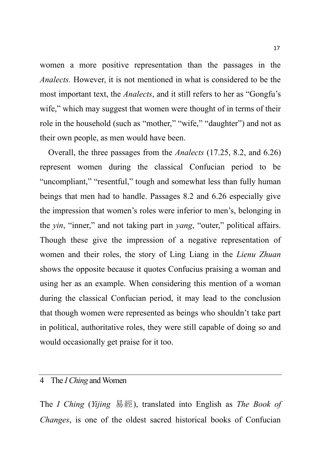women a more positive representation than the passages in the *Analects.* However, it is not mentioned in what is considered to be the most important text, the *Analects*, and it still refers to her as "Gongfu's wife," which may suggest that women were thought of in terms of their role in the household (such as "mother," "wife," "daughter") and not as their own people, as men would have been.

Overall, the three passages from the *Analects* (17.25, 8.2, and 6.26) represent women during the classical Confucian period to be "uncompliant," "resentful," tough and somewhat less than fully human beings that men had to handle. Passages 8.2 and 6.26 especially give the impression that women's roles were inferior to men's, belonging in the *yin*, "inner," and not taking part in *yang*, "outer," political affairs. Though these give the impression of a negative representation of women and their roles, the story of Ling Liang in the *Lienu Zhuan*  shows the opposite because it quotes Confucius praising a woman and using her as an example. When considering this mention of a woman during the classical Confucian period, it may lead to the conclusion that though women were represented as beings who shouldn't take part in political, authoritative roles, they were still capable of doing so and would occasionally get praise for it too.

#### 4 The *I Ching* and Women

The *I Ching* (*Yijing* 易經), translated into English as *The Book of Changes*, is one of the oldest sacred historical books of Confucian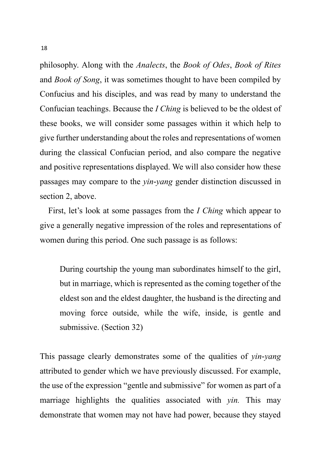philosophy. Along with the *Analects*, the *Book of Odes*, *Book of Rites*  and *Book of Song*, it was sometimes thought to have been compiled by Confucius and his disciples, and was read by many to understand the Confucian teachings. Because the *I Ching* is believed to be the oldest of these books, we will consider some passages within it which help to give further understanding about the roles and representations of women during the classical Confucian period, and also compare the negative and positive representations displayed. We will also consider how these passages may compare to the *yin-yang* gender distinction discussed in section 2, above.

First, let's look at some passages from the *I Ching* which appear to give a generally negative impression of the roles and representations of women during this period. One such passage is as follows:

During courtship the young man subordinates himself to the girl, but in marriage, which is represented as the coming together of the eldest son and the eldest daughter, the husband is the directing and moving force outside, while the wife, inside, is gentle and submissive. (Section 32)

This passage clearly demonstrates some of the qualities of *yin-yang*  attributed to gender which we have previously discussed. For example, the use of the expression "gentle and submissive" for women as part of a marriage highlights the qualities associated with *yin.* This may demonstrate that women may not have had power, because they stayed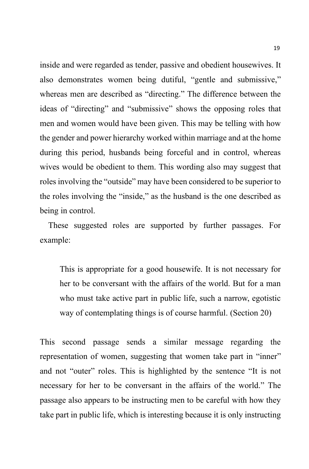inside and were regarded as tender, passive and obedient housewives. It also demonstrates women being dutiful, "gentle and submissive," whereas men are described as "directing." The difference between the ideas of "directing" and "submissive" shows the opposing roles that men and women would have been given. This may be telling with how the gender and power hierarchy worked within marriage and at the home during this period, husbands being forceful and in control, whereas wives would be obedient to them. This wording also may suggest that roles involving the "outside" may have been considered to be superior to the roles involving the "inside," as the husband is the one described as being in control.

These suggested roles are supported by further passages. For example:

This is appropriate for a good housewife. It is not necessary for her to be conversant with the affairs of the world. But for a man who must take active part in public life, such a narrow, egotistic way of contemplating things is of course harmful. (Section 20)

This second passage sends a similar message regarding the representation of women, suggesting that women take part in "inner" and not "outer" roles. This is highlighted by the sentence "It is not necessary for her to be conversant in the affairs of the world." The passage also appears to be instructing men to be careful with how they take part in public life, which is interesting because it is only instructing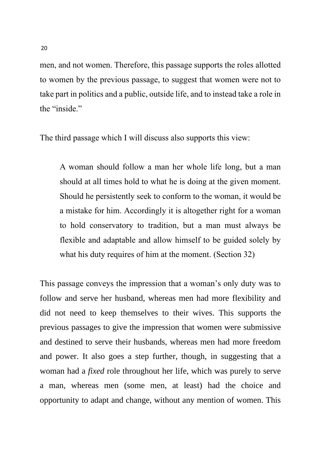men, and not women. Therefore, this passage supports the roles allotted to women by the previous passage, to suggest that women were not to take part in politics and a public, outside life, and to instead take a role in the "inside."

The third passage which I will discuss also supports this view:

A woman should follow a man her whole life long, but a man should at all times hold to what he is doing at the given moment. Should he persistently seek to conform to the woman, it would be a mistake for him. Accordingly it is altogether right for a woman to hold conservatory to tradition, but a man must always be flexible and adaptable and allow himself to be guided solely by what his duty requires of him at the moment. (Section 32)

This passage conveys the impression that a woman's only duty was to follow and serve her husband, whereas men had more flexibility and did not need to keep themselves to their wives. This supports the previous passages to give the impression that women were submissive and destined to serve their husbands, whereas men had more freedom and power. It also goes a step further, though, in suggesting that a woman had a *fixed* role throughout her life, which was purely to serve a man, whereas men (some men, at least) had the choice and opportunity to adapt and change, without any mention of women. This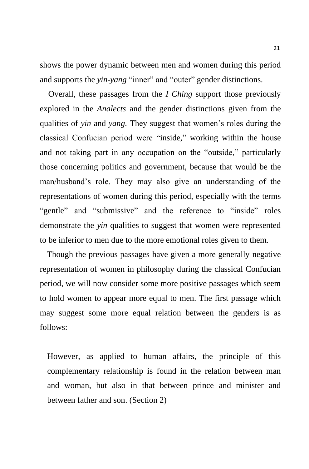shows the power dynamic between men and women during this period and supports the *yin-yang* "inner" and "outer" gender distinctions.

Overall, these passages from the *I Ching* support those previously explored in the *Analects* and the gender distinctions given from the qualities of *yin* and *yang.* They suggest that women's roles during the classical Confucian period were "inside," working within the house and not taking part in any occupation on the "outside," particularly those concerning politics and government, because that would be the man/husband's role. They may also give an understanding of the representations of women during this period, especially with the terms "gentle" and "submissive" and the reference to "inside" roles demonstrate the *yin* qualities to suggest that women were represented to be inferior to men due to the more emotional roles given to them.

 Though the previous passages have given a more generally negative representation of women in philosophy during the classical Confucian period, we will now consider some more positive passages which seem to hold women to appear more equal to men. The first passage which may suggest some more equal relation between the genders is as follows:

However, as applied to human affairs, the principle of this complementary relationship is found in the relation between man and woman, but also in that between prince and minister and between father and son. (Section 2)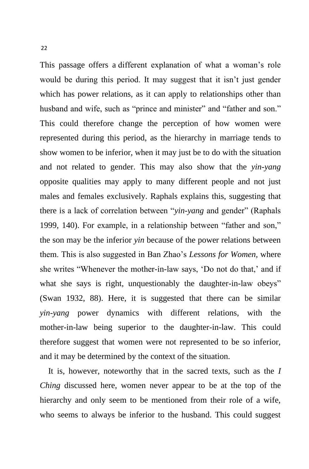This passage offers a different explanation of what a woman's role would be during this period. It may suggest that it isn't just gender which has power relations, as it can apply to relationships other than husband and wife, such as "prince and minister" and "father and son." This could therefore change the perception of how women were represented during this period, as the hierarchy in marriage tends to show women to be inferior, when it may just be to do with the situation and not related to gender. This may also show that the *yin-yang*  opposite qualities may apply to many different people and not just males and females exclusively. Raphals explains this, suggesting that there is a lack of correlation between "*yin-yang* and gender" (Raphals 1999, 140). For example, in a relationship between "father and son," the son may be the inferior *yin* because of the power relations between them. This is also suggested in Ban Zhao's *Lessons for Women,* where she writes "Whenever the mother-in-law says, 'Do not do that,' and if what she says is right, unquestionably the daughter-in-law obeys" (Swan 1932, 88). Here, it is suggested that there can be similar *yin-yang* power dynamics with different relations, with the mother-in-law being superior to the daughter-in-law. This could therefore suggest that women were not represented to be so inferior, and it may be determined by the context of the situation.

It is, however, noteworthy that in the sacred texts, such as the *I Ching* discussed here, women never appear to be at the top of the hierarchy and only seem to be mentioned from their role of a wife, who seems to always be inferior to the husband. This could suggest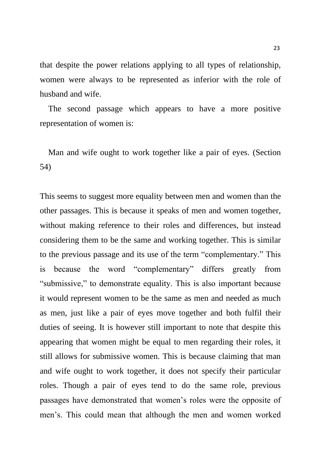that despite the power relations applying to all types of relationship, women were always to be represented as inferior with the role of husband and wife.

The second passage which appears to have a more positive representation of women is:

Man and wife ought to work together like a pair of eyes. (Section 54)

This seems to suggest more equality between men and women than the other passages. This is because it speaks of men and women together, without making reference to their roles and differences, but instead considering them to be the same and working together. This is similar to the previous passage and its use of the term "complementary." This is because the word "complementary" differs greatly from "submissive," to demonstrate equality. This is also important because it would represent women to be the same as men and needed as much as men, just like a pair of eyes move together and both fulfil their duties of seeing. It is however still important to note that despite this appearing that women might be equal to men regarding their roles, it still allows for submissive women. This is because claiming that man and wife ought to work together, it does not specify their particular roles. Though a pair of eyes tend to do the same role, previous passages have demonstrated that women's roles were the opposite of men's. This could mean that although the men and women worked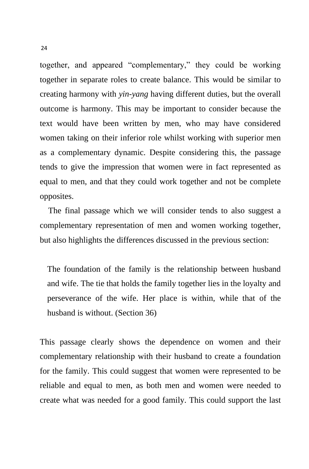together, and appeared "complementary," they could be working together in separate roles to create balance. This would be similar to creating harmony with *yin-yang* having different duties, but the overall outcome is harmony. This may be important to consider because the text would have been written by men, who may have considered women taking on their inferior role whilst working with superior men as a complementary dynamic. Despite considering this, the passage tends to give the impression that women were in fact represented as equal to men, and that they could work together and not be complete opposites.

The final passage which we will consider tends to also suggest a complementary representation of men and women working together, but also highlights the differences discussed in the previous section:

The foundation of the family is the relationship between husband and wife. The tie that holds the family together lies in the loyalty and perseverance of the wife. Her place is within, while that of the husband is without. (Section 36)

This passage clearly shows the dependence on women and their complementary relationship with their husband to create a foundation for the family. This could suggest that women were represented to be reliable and equal to men, as both men and women were needed to create what was needed for a good family. This could support the last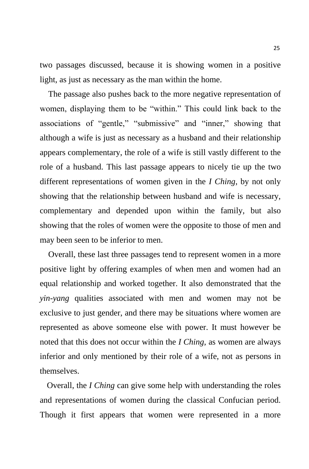two passages discussed, because it is showing women in a positive light, as just as necessary as the man within the home.

The passage also pushes back to the more negative representation of women, displaying them to be "within." This could link back to the associations of "gentle," "submissive" and "inner," showing that although a wife is just as necessary as a husband and their relationship appears complementary, the role of a wife is still vastly different to the role of a husband. This last passage appears to nicely tie up the two different representations of women given in the *I Ching*, by not only showing that the relationship between husband and wife is necessary, complementary and depended upon within the family, but also showing that the roles of women were the opposite to those of men and may been seen to be inferior to men.

Overall, these last three passages tend to represent women in a more positive light by offering examples of when men and women had an equal relationship and worked together. It also demonstrated that the *yin-yang* qualities associated with men and women may not be exclusive to just gender, and there may be situations where women are represented as above someone else with power. It must however be noted that this does not occur within the *I Ching*, as women are always inferior and only mentioned by their role of a wife, not as persons in themselves.

 Overall, the *I Ching* can give some help with understanding the roles and representations of women during the classical Confucian period. Though it first appears that women were represented in a more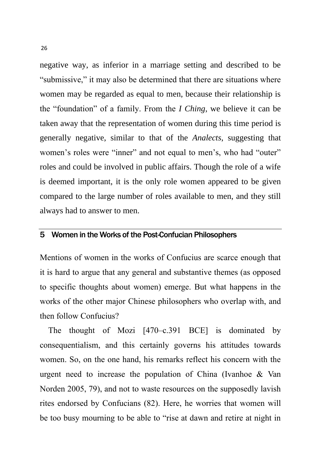negative way, as inferior in a marriage setting and described to be "submissive," it may also be determined that there are situations where women may be regarded as equal to men, because their relationship is the "foundation" of a family. From the *I Ching*, we believe it can be taken away that the representation of women during this time period is generally negative, similar to that of the *Analects*, suggesting that women's roles were "inner" and not equal to men's, who had "outer" roles and could be involved in public affairs. Though the role of a wife is deemed important, it is the only role women appeared to be given compared to the large number of roles available to men, and they still always had to answer to men.

#### 5 Women in the Works of the Post-Confucian Philosophers

Mentions of women in the works of Confucius are scarce enough that it is hard to argue that any general and substantive themes (as opposed to specific thoughts about women) emerge. But what happens in the works of the other major Chinese philosophers who overlap with, and then follow Confucius?

The thought of Mozi [470–c.391 BCE] is dominated by consequentialism, and this certainly governs his attitudes towards women. So, on the one hand, his remarks reflect his concern with the urgent need to increase the population of China (Ivanhoe & Van Norden 2005, 79), and not to waste resources on the supposedly lavish rites endorsed by Confucians (82). Here, he worries that women will be too busy mourning to be able to "rise at dawn and retire at night in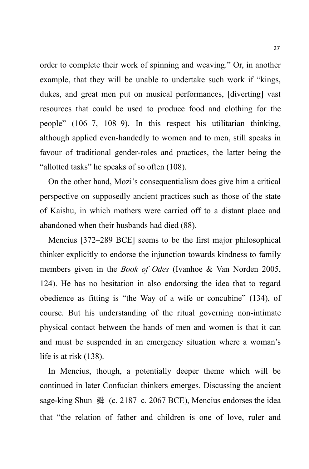order to complete their work of spinning and weaving." Or, in another example, that they will be unable to undertake such work if "kings, dukes, and great men put on musical performances, [diverting] vast resources that could be used to produce food and clothing for the people" (106–7, 108–9). In this respect his utilitarian thinking, although applied even-handedly to women and to men, still speaks in favour of traditional gender-roles and practices, the latter being the "allotted tasks" he speaks of so often (108).

On the other hand, Mozi's consequentialism does give him a critical perspective on supposedly ancient practices such as those of the state of Kaishu, in which mothers were carried off to a distant place and abandoned when their husbands had died (88).

Mencius [372–289 BCE] seems to be the first major philosophical thinker explicitly to endorse the injunction towards kindness to family members given in the *Book of Odes* (Ivanhoe & Van Norden 2005, 124). He has no hesitation in also endorsing the idea that to regard obedience as fitting is "the Way of a wife or concubine" (134), of course. But his understanding of the ritual governing non-intimate physical contact between the hands of men and women is that it can and must be suspended in an emergency situation where a woman's life is at risk (138).

In Mencius, though, a potentially deeper theme which will be continued in later Confucian thinkers emerges. Discussing the ancient sage-king Shun 舜 (c. 2187–c. 2067 BCE), Mencius endorses the idea that "the relation of father and children is one of love, ruler and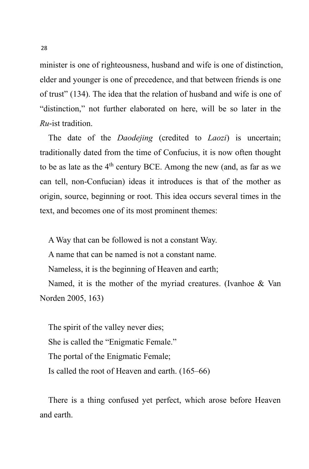minister is one of righteousness, husband and wife is one of distinction, elder and younger is one of precedence, and that between friends is one of trust" (134). The idea that the relation of husband and wife is one of "distinction," not further elaborated on here, will be so later in the *Ru*-ist tradition.

The date of the *Daodejing* (credited to *Laozi*) is uncertain; traditionally dated from the time of Confucius, it is now often thought to be as late as the  $4<sup>th</sup>$  century BCE. Among the new (and, as far as we can tell, non-Confucian) ideas it introduces is that of the mother as origin, source, beginning or root. This idea occurs several times in the text, and becomes one of its most prominent themes:

A Way that can be followed is not a constant Way.

A name that can be named is not a constant name.

Nameless, it is the beginning of Heaven and earth;

Named, it is the mother of the myriad creatures. (Ivanhoe & Van Norden 2005, 163)

The spirit of the valley never dies; She is called the "Enigmatic Female." The portal of the Enigmatic Female; Is called the root of Heaven and earth. (165–66)

There is a thing confused yet perfect, which arose before Heaven and earth.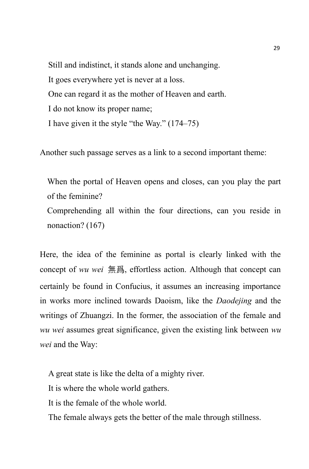Still and indistinct, it stands alone and unchanging. It goes everywhere yet is never at a loss. One can regard it as the mother of Heaven and earth. I do not know its proper name; I have given it the style "the Way." (174–75)

Another such passage serves as a link to a second important theme:

When the portal of Heaven opens and closes, can you play the part of the feminine?

Comprehending all within the four directions, can you reside in nonaction? (167)

Here, the idea of the feminine as portal is clearly linked with the concept of *wu wei* 無爲, effortless action. Although that concept can certainly be found in Confucius, it assumes an increasing importance in works more inclined towards Daoism, like the *Daodejing* and the writings of Zhuangzi. In the former, the association of the female and *wu wei* assumes great significance, given the existing link between *wu wei* and the Way:

A great state is like the delta of a mighty river.

It is where the whole world gathers.

It is the female of the whole world.

The female always gets the better of the male through stillness.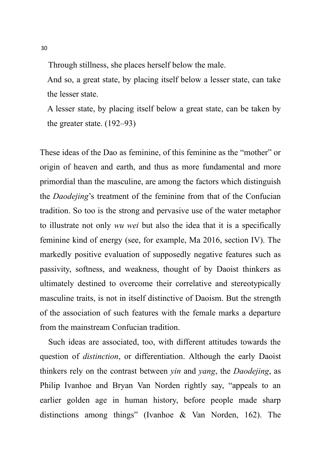Through stillness, she places herself below the male.

And so, a great state, by placing itself below a lesser state, can take the lesser state.

A lesser state, by placing itself below a great state, can be taken by the greater state. (192–93)

These ideas of the Dao as feminine, of this feminine as the "mother" or origin of heaven and earth, and thus as more fundamental and more primordial than the masculine, are among the factors which distinguish the *Daodejing*'s treatment of the feminine from that of the Confucian tradition. So too is the strong and pervasive use of the water metaphor to illustrate not only *wu wei* but also the idea that it is a specifically feminine kind of energy (see, for example, Ma 2016, section IV). The markedly positive evaluation of supposedly negative features such as passivity, softness, and weakness, thought of by Daoist thinkers as ultimately destined to overcome their correlative and stereotypically masculine traits, is not in itself distinctive of Daoism. But the strength of the association of such features with the female marks a departure from the mainstream Confucian tradition.

Such ideas are associated, too, with different attitudes towards the question of *distinction*, or differentiation. Although the early Daoist thinkers rely on the contrast between *yin* and *yang*, the *Daodejing*, as Philip Ivanhoe and Bryan Van Norden rightly say, "appeals to an earlier golden age in human history, before people made sharp distinctions among things" (Ivanhoe & Van Norden, 162). The

30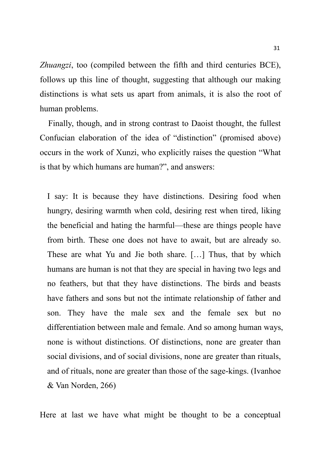*Zhuangzi*, too (compiled between the fifth and third centuries BCE), follows up this line of thought, suggesting that although our making distinctions is what sets us apart from animals, it is also the root of human problems.

Finally, though, and in strong contrast to Daoist thought, the fullest Confucian elaboration of the idea of "distinction" (promised above) occurs in the work of Xunzi, who explicitly raises the question "What is that by which humans are human?", and answers:

I say: It is because they have distinctions. Desiring food when hungry, desiring warmth when cold, desiring rest when tired, liking the beneficial and hating the harmful—these are things people have from birth. These one does not have to await, but are already so. These are what Yu and Jie both share. […] Thus, that by which humans are human is not that they are special in having two legs and no feathers, but that they have distinctions. The birds and beasts have fathers and sons but not the intimate relationship of father and son. They have the male sex and the female sex but no differentiation between male and female. And so among human ways, none is without distinctions. Of distinctions, none are greater than social divisions, and of social divisions, none are greater than rituals, and of rituals, none are greater than those of the sage-kings. (Ivanhoe & Van Norden, 266)

Here at last we have what might be thought to be a conceptual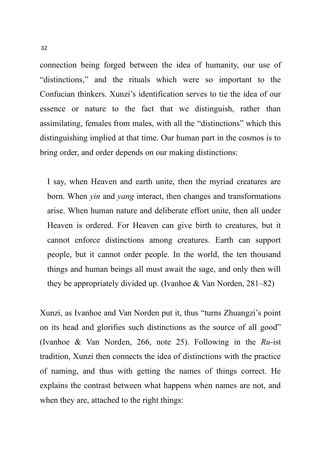connection being forged between the idea of humanity, our use of "distinctions," and the rituals which were so important to the Confucian thinkers. Xunzi's identification serves to tie the idea of our essence or nature to the fact that we distinguish, rather than assimilating, females from males, with all the "distinctions" which this distinguishing implied at that time. Our human part in the cosmos is to bring order, and order depends on our making distinctions:

I say, when Heaven and earth unite, then the myriad creatures are born. When *yin* and *yang* interact, then changes and transformations arise. When human nature and deliberate effort unite, then all under Heaven is ordered. For Heaven can give birth to creatures, but it cannot enforce distinctions among creatures. Earth can support people, but it cannot order people. In the world, the ten thousand things and human beings all must await the sage, and only then will they be appropriately divided up. (Ivanhoe & Van Norden, 281–82)

Xunzi, as Ivanhoe and Van Norden put it, thus "turns Zhuangzi's point on its head and glorifies such distinctions as the source of all good" (Ivanhoe & Van Norden, 266, note 25). Following in the *Ru*-ist tradition, Xunzi then connects the idea of distinctions with the practice of naming, and thus with getting the names of things correct. He explains the contrast between what happens when names are not, and when they are, attached to the right things: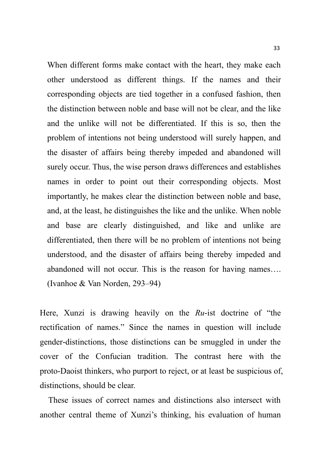When different forms make contact with the heart, they make each other understood as different things. If the names and their corresponding objects are tied together in a confused fashion, then the distinction between noble and base will not be clear, and the like and the unlike will not be differentiated. If this is so, then the problem of intentions not being understood will surely happen, and the disaster of affairs being thereby impeded and abandoned will surely occur. Thus, the wise person draws differences and establishes names in order to point out their corresponding objects. Most importantly, he makes clear the distinction between noble and base, and, at the least, he distinguishes the like and the unlike. When noble and base are clearly distinguished, and like and unlike are differentiated, then there will be no problem of intentions not being understood, and the disaster of affairs being thereby impeded and abandoned will not occur. This is the reason for having names…. (Ivanhoe & Van Norden, 293–94)

Here, Xunzi is drawing heavily on the *Ru*-ist doctrine of "the rectification of names." Since the names in question will include gender-distinctions, those distinctions can be smuggled in under the cover of the Confucian tradition. The contrast here with the proto-Daoist thinkers, who purport to reject, or at least be suspicious of, distinctions, should be clear.

These issues of correct names and distinctions also intersect with another central theme of Xunzi's thinking, his evaluation of human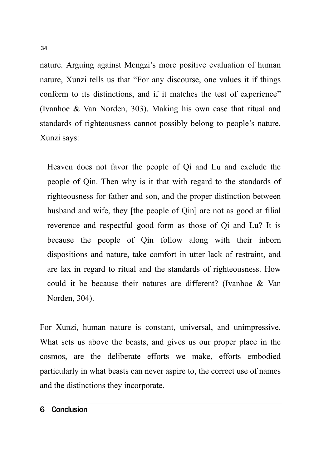nature. Arguing against Mengzi's more positive evaluation of human nature, Xunzi tells us that "For any discourse, one values it if things conform to its distinctions, and if it matches the test of experience" (Ivanhoe & Van Norden, 303). Making his own case that ritual and standards of righteousness cannot possibly belong to people's nature, Xunzi says:

Heaven does not favor the people of Qi and Lu and exclude the people of Qin. Then why is it that with regard to the standards of righteousness for father and son, and the proper distinction between husband and wife, they [the people of Qin] are not as good at filial reverence and respectful good form as those of Qi and Lu? It is because the people of Qin follow along with their inborn dispositions and nature, take comfort in utter lack of restraint, and are lax in regard to ritual and the standards of righteousness. How could it be because their natures are different? (Ivanhoe & Van Norden, 304).

For Xunzi, human nature is constant, universal, and unimpressive. What sets us above the beasts, and gives us our proper place in the cosmos, are the deliberate efforts we make, efforts embodied particularly in what beasts can never aspire to, the correct use of names and the distinctions they incorporate.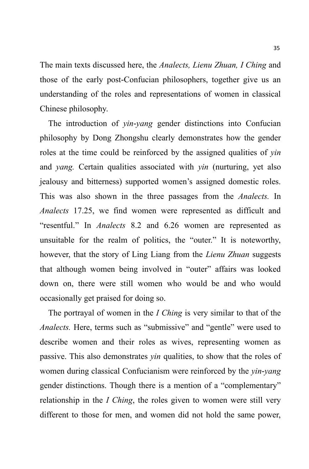The main texts discussed here, the *Analects, Lienu Zhuan, I Ching* and those of the early post-Confucian philosophers, together give us an understanding of the roles and representations of women in classical Chinese philosophy.

The introduction of *yin-yang* gender distinctions into Confucian philosophy by Dong Zhongshu clearly demonstrates how the gender roles at the time could be reinforced by the assigned qualities of *yin*  and *yang.* Certain qualities associated with *yin* (nurturing, yet also jealousy and bitterness) supported women's assigned domestic roles. This was also shown in the three passages from the *Analects.* In *Analects* 17.25, we find women were represented as difficult and "resentful." In *Analects* 8.2 and 6.26 women are represented as unsuitable for the realm of politics, the "outer." It is noteworthy, however, that the story of Ling Liang from the *Lienu Zhuan* suggests that although women being involved in "outer" affairs was looked down on, there were still women who would be and who would occasionally get praised for doing so.

The portrayal of women in the *I Ching* is very similar to that of the *Analects.* Here, terms such as "submissive" and "gentle" were used to describe women and their roles as wives, representing women as passive. This also demonstrates *yin* qualities, to show that the roles of women during classical Confucianism were reinforced by the *yin-yang*  gender distinctions. Though there is a mention of a "complementary" relationship in the *I Ching*, the roles given to women were still very different to those for men, and women did not hold the same power,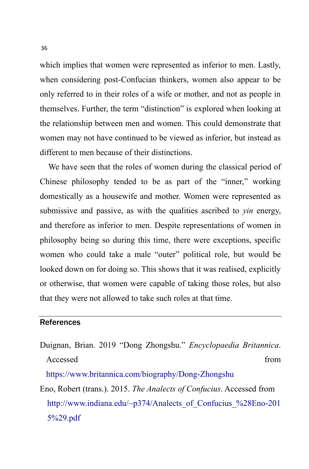which implies that women were represented as inferior to men. Lastly, when considering post-Confucian thinkers, women also appear to be only referred to in their roles of a wife or mother, and not as people in themselves. Further, the term "distinction" is explored when looking at the relationship between men and women. This could demonstrate that women may not have continued to be viewed as inferior, but instead as different to men because of their distinctions.

We have seen that the roles of women during the classical period of Chinese philosophy tended to be as part of the "inner," working domestically as a housewife and mother. Women were represented as submissive and passive, as with the qualities ascribed to *yin* energy, and therefore as inferior to men. Despite representations of women in philosophy being so during this time, there were exceptions, specific women who could take a male "outer" political role, but would be looked down on for doing so. This shows that it was realised, explicitly or otherwise, that women were capable of taking those roles, but also that they were not allowed to take such roles at that time.

#### **References**

Duignan, Brian. 2019 "Dong Zhongshu." *Encyclopaedia Britannica*. Accessed from  $\blacksquare$ 

<https://www.britannica.com/biography/Dong-Zhongshu>

Eno, Robert (trans.). 2015. *The Analects of Confucius*. Accessed from [http://www.indiana.edu/~p374/Analects\\_of\\_Confucius\\_%28Eno-201](http://www.indiana.edu/~p374/Analects_of_Confucius_%28Eno-2015%29.pdf) [5%29.pdf](http://www.indiana.edu/~p374/Analects_of_Confucius_%28Eno-2015%29.pdf)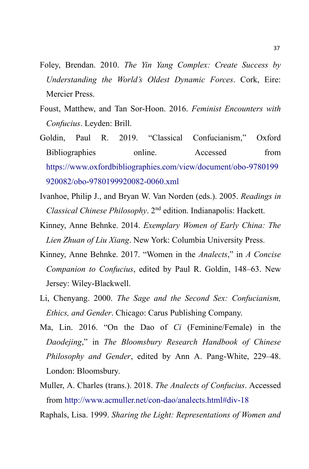- Foley, Brendan. 2010. *The Yin Yang Complex: Create Success by Understanding the World's Oldest Dynamic Forces*. Cork, Eire: Mercier Press.
- Foust, Matthew, and Tan Sor-Hoon. 2016. *Feminist Encounters with Confucius*. Leyden: Brill.
- Goldin, Paul R. 2019. "Classical Confucianism," Oxford Bibliographies online. Accessed from [https://www.oxfordbibliographies.com/view/document/obo-9780199](https://www.oxfordbibliographies.com/view/document/obo-9780199920082/obo-9780199920082-0060.xml) [920082/obo-9780199920082-0060.xml](https://www.oxfordbibliographies.com/view/document/obo-9780199920082/obo-9780199920082-0060.xml)
- Ivanhoe, Philip J., and Bryan W. Van Norden (eds.). 2005. *Readings in Classical Chinese Philosophy*. 2nd edition. Indianapolis: Hackett.
- Kinney, Anne Behnke. 2014. *Exemplary Women of Early China: The Lien Zhuan of Liu Xiang*. New York: Columbia University Press.
- Kinney, Anne Behnke. 2017. "Women in the *Analects*," in *A Concise Companion to Confucius*, edited by Paul R. Goldin, 148–63. New Jersey: Wiley-Blackwell.
- Li, Chenyang. 2000. *The Sage and the Second Sex: Confucianism, Ethics, and Gender*. Chicago: Carus Publishing Company.
- Ma, Lin. 2016. "On the Dao of *Ci* (Feminine/Female) in the *Daodejing*," in *The Bloomsbury Research Handbook of Chinese Philosophy and Gender*, edited by Ann A. Pang-White, 229–48. London: Bloomsbury.
- Muller, A. Charles (trans.). 2018. *The Analects of Confucius*. Accessed from<http://www.acmuller.net/con-dao/analects.html#div-18>
- Raphals, Lisa. 1999. *Sharing the Light: Representations of Women and*